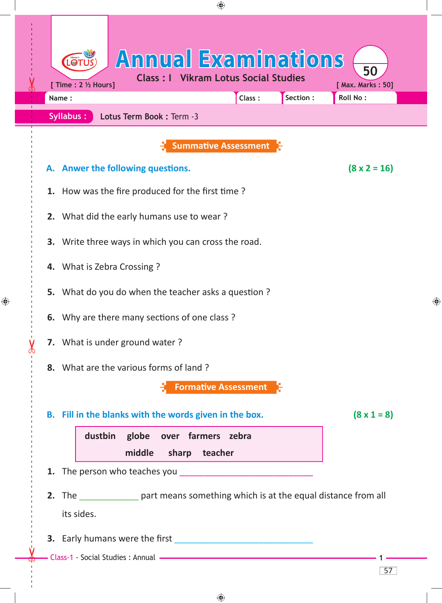| ⊕                                                                                                                                                             |                         |
|---------------------------------------------------------------------------------------------------------------------------------------------------------------|-------------------------|
| <b>Annual Examinations</b><br>LOTU<br><b>Class: I Vikram Lotus Social Studies</b><br>[ Time : 2 1/2 Hours]<br>Section :<br><b>Roll No:</b><br>Class:<br>Name: | 50<br>[ Max. Marks: 50] |
| Syllabus:<br>Lotus Term Book: Term -3                                                                                                                         |                         |
| <b>Summative Assessment</b>                                                                                                                                   |                         |
| A. Anwer the following questions.                                                                                                                             | $(8 \times 2 = 16)$     |
| 1. How was the fire produced for the first time?                                                                                                              |                         |
| 2. What did the early humans use to wear?                                                                                                                     |                         |
| 3. Write three ways in which you can cross the road.                                                                                                          |                         |
| 4. What is Zebra Crossing?                                                                                                                                    |                         |
| 5. What do you do when the teacher asks a question?                                                                                                           | ↔                       |
| 6. Why are there many sections of one class?                                                                                                                  |                         |
| 7. What is under ground water?                                                                                                                                |                         |
| 8. What are the various forms of land?                                                                                                                        |                         |
| <b>Formative Assessment</b>                                                                                                                                   |                         |
| B. Fill in the blanks with the words given in the box.                                                                                                        | $(8 \times 1 = 8)$      |
| dustbin<br>globe over farmers zebra                                                                                                                           |                         |
| middle<br>sharp teacher                                                                                                                                       |                         |
|                                                                                                                                                               |                         |
| 2. The part means something which is at the equal distance from all<br>its sides.                                                                             |                         |
|                                                                                                                                                               |                         |
| Class-1 - Social Studies : Annual - The Class-1 - Social Studies : Annual - The Class-1 - Social Studies : Annual -                                           |                         |
|                                                                                                                                                               | 57                      |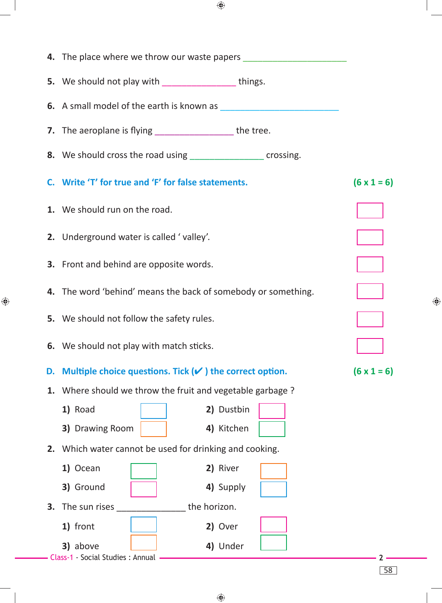|                                  |                                                     | 4. The place where we throw our waste papers ___________________________________ |                    |
|----------------------------------|-----------------------------------------------------|----------------------------------------------------------------------------------|--------------------|
|                                  |                                                     | 5. We should not play with _________________things.                              |                    |
|                                  |                                                     |                                                                                  |                    |
|                                  |                                                     | 7. The aeroplane is flying _______________________the tree.                      |                    |
|                                  |                                                     | 8. We should cross the road using _____________________ crossing.                |                    |
|                                  | C. Write 'T' for true and 'F' for false statements. |                                                                                  | $(6 \times 1 = 6)$ |
| 1. We should run on the road.    |                                                     |                                                                                  |                    |
|                                  | 2. Underground water is called 'valley'.            |                                                                                  |                    |
|                                  | <b>3.</b> Front and behind are opposite words.      |                                                                                  |                    |
|                                  |                                                     | 4. The word 'behind' means the back of somebody or something.                    |                    |
|                                  | 5. We should not follow the safety rules.           |                                                                                  |                    |
|                                  | 6. We should not play with match sticks.            |                                                                                  |                    |
| D.                               |                                                     | Multiple choice questions. Tick $(v)$ the correct option.                        | $(6 \times 1 = 6)$ |
| 1.                               |                                                     | Where should we throw the fruit and vegetable garbage?                           |                    |
| 1) Road                          |                                                     | 2) Dustbin                                                                       |                    |
| 3) Drawing Room                  |                                                     | 4) Kitchen                                                                       |                    |
|                                  |                                                     | 2. Which water cannot be used for drinking and cooking.                          |                    |
| 1) Ocean                         |                                                     | 2) River                                                                         |                    |
| 3) Ground                        |                                                     | 4) Supply                                                                        |                    |
| The sun rises<br>3.              |                                                     | the horizon.                                                                     |                    |
| 1) front                         |                                                     | 2) Over                                                                          |                    |
| 3) above                         |                                                     | 4) Under                                                                         |                    |
| Class-1 - Social Studies: Annual |                                                     |                                                                                  | 58                 |

 $\bigoplus$ 

♦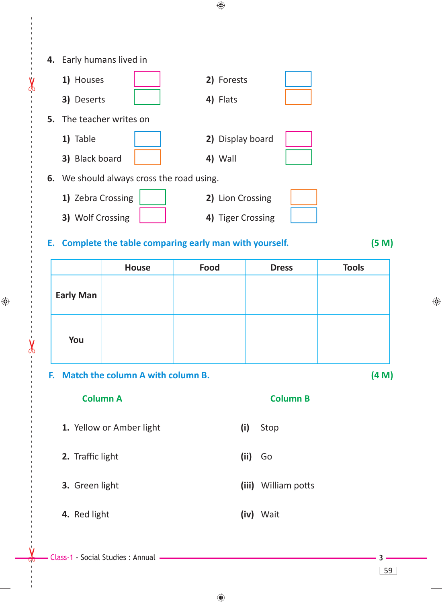|                                           | 4. Early humans lived in |                                      |                                                       |                 |              |
|-------------------------------------------|--------------------------|--------------------------------------|-------------------------------------------------------|-----------------|--------------|
|                                           | 1) Houses                |                                      | 2) Forests                                            |                 |              |
|                                           | 3) Deserts               |                                      | 4) Flats                                              |                 |              |
|                                           |                          | 5. The teacher writes on             |                                                       |                 |              |
|                                           | 1) Table                 |                                      | 2) Display board                                      |                 |              |
|                                           | 3) Black board           |                                      | 4) Wall                                               |                 |              |
| 6. We should always cross the road using. |                          |                                      |                                                       |                 |              |
|                                           | 1) Zebra Crossing        |                                      | 2) Lion Crossing                                      |                 |              |
|                                           | 3) Wolf Crossing         |                                      | 4) Tiger Crossing                                     |                 |              |
| Е.                                        |                          |                                      | Complete the table comparing early man with yourself. |                 | (5 M)        |
|                                           |                          | <b>House</b>                         | <b>Food</b>                                           | <b>Dress</b>    | <b>Tools</b> |
|                                           | <b>Early Man</b>         |                                      |                                                       |                 |              |
|                                           | You                      |                                      |                                                       |                 |              |
|                                           |                          | F. Match the column A with column B. |                                                       | (4 M)           |              |
|                                           |                          | <b>Column A</b>                      |                                                       | <b>Column B</b> |              |
|                                           |                          | 1. Yellow or Amber light             | (i)                                                   | Stop            |              |
|                                           | 2. Traffic light         |                                      | (ii)                                                  | Go              |              |
|                                           | 3. Green light           |                                      | (iii)                                                 | William potts   |              |

 **4.** Red light **(iv)** Wait

------ - - --------------------------------------- --- -------------------------------------------------- ------------- -- - - ---

 $\frac{1}{2}$ 

 $\bigoplus$ 

 $\chi$ 

59